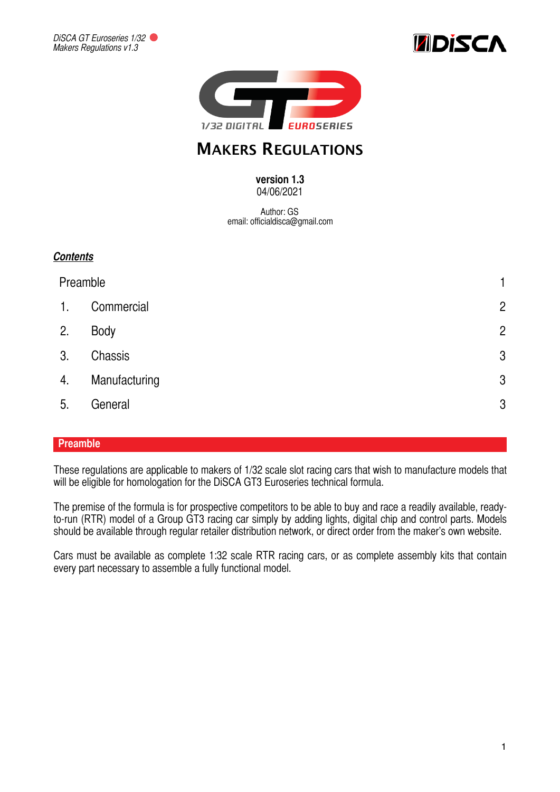





# **MAKERS REGULATIONS**

#### **version 1.3**  04/06/2021

Author: GS email: officialdisca@gmail.com

|    | Preamble      |                |
|----|---------------|----------------|
| 1. | Commercial    | $\overline{2}$ |
| 2. | Body          | $\overline{2}$ |
| 3. | Chassis       | $\mathbf{3}$   |
| 4. | Manufacturing | $\mathbf{3}$   |
| 5. | General       | $\mathfrak{B}$ |

#### <span id="page-0-0"></span>**Preamble**

These regulations are applicable to makers of 1/32 scale slot racing cars that wish to manufacture models that will be eligible for homologation for the DiSCA GT3 Euroseries technical formula.

The premise of the formula is for prospective competitors to be able to buy and race a readily available, readyto-run (RTR) model of a Group GT3 racing car simply by adding lights, digital chip and control parts. Models should be available through regular retailer distribution network, or direct order from the maker's own website.

Cars must be available as complete 1:32 scale RTR racing cars, or as complete assembly kits that contain every part necessary to assemble a fully functional model.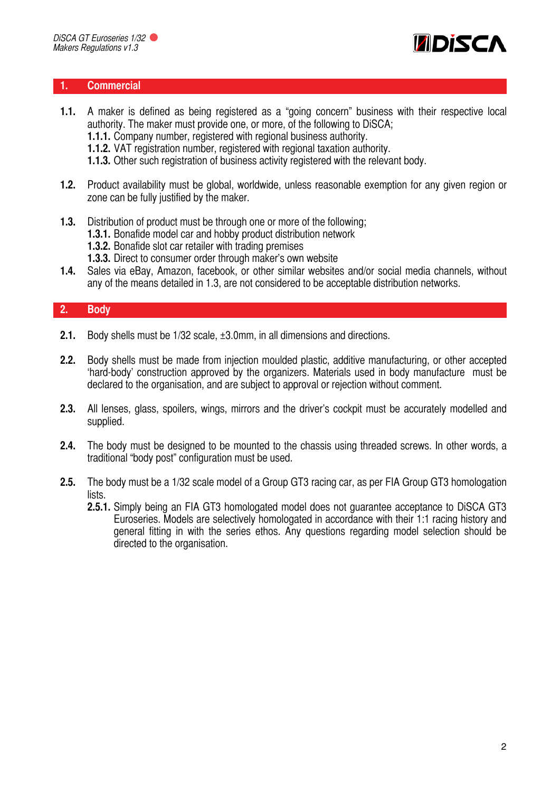

#### <span id="page-1-0"></span>**1. Commercial**

- **1.1.** A maker is defined as being registered as a "going concern" business with their respective local authority. The maker must provide one, or more, of the following to DiSCA;
	- **1.1.1.** Company number, registered with regional business authority.
	- **1.1.2.** VAT registration number, registered with regional taxation authority.
	- **1.1.3.** Other such registration of business activity registered with the relevant body.
- **1.2.** Product availability must be global, worldwide, unless reasonable exemption for any given region or zone can be fully justified by the maker.
- **1.3.** Distribution of product must be through one or more of the following;
	- **1.3.1.** Bonafide model car and hobby product distribution network
	- **1.3.2.** Bonafide slot car retailer with trading premises
	- **1.3.3.** Direct to consumer order through maker's own website
- **1.4.** Sales via eBay, Amazon, facebook, or other similar websites and/or social media channels, without any of the means detailed in 1.3, are not considered to be acceptable distribution networks.

## <span id="page-1-1"></span>**2. Body**

- **2.1.** Body shells must be 1/32 scale, ±3.0mm, in all dimensions and directions.
- **2.2.** Body shells must be made from injection moulded plastic, additive manufacturing, or other accepted 'hard-body' construction approved by the organizers. Materials used in body manufacture must be declared to the organisation, and are subject to approval or rejection without comment.
- **2.3.** All lenses, glass, spoilers, wings, mirrors and the driver's cockpit must be accurately modelled and supplied.
- **2.4.** The body must be designed to be mounted to the chassis using threaded screws. In other words, a traditional "body post" configuration must be used.
- **2.5.** The body must be a 1/32 scale model of a Group GT3 racing car, as per FIA Group GT3 homologation lists.
	- **2.5.1.** Simply being an FIA GT3 homologated model does not guarantee acceptance to DiSCA GT3 Euroseries. Models are selectively homologated in accordance with their 1:1 racing history and general fitting in with the series ethos. Any questions regarding model selection should be directed to the organisation.